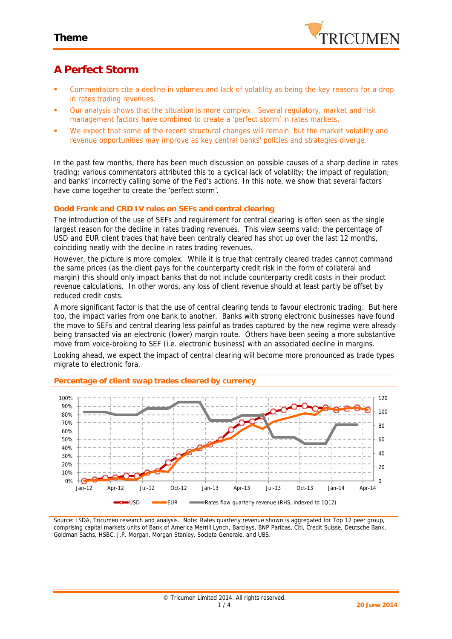

# **A Perfect Storm**

- Commentators cite a decline in volumes and lack of volatility as being the key reasons for a drop in rates trading revenues.
- Our analysis shows that the situation is more complex. Several regulatory, market and risk management factors have combined to create a 'perfect storm' in rates markets.
- We expect that some of the recent structural changes will remain, but the market volatility and revenue opportunities may improve as key central banks' policies and strategies diverge.

In the past few months, there has been much discussion on possible causes of a sharp decline in rates trading; various commentators attributed this to a cyclical lack of volatility; the impact of regulation; and banks' incorrectly calling some of the Fed's actions. In this note, we show that several factors have come together to create the 'perfect storm'.

### **Dodd Frank and CRD IV rules on SEFs and central clearing**

The introduction of the use of SEFs and requirement for central clearing is often seen as the single largest reason for the decline in rates trading revenues. This view seems valid: the percentage of USD and EUR client trades that have been centrally cleared has shot up over the last 12 months, coinciding neatly with the decline in rates trading revenues.

However, the picture is more complex. While it is true that centrally cleared trades cannot command the same prices (as the client pays for the counterparty credit risk in the form of collateral and margin) this should only impact banks that do not include counterparty credit costs in their product revenue calculations. In other words, any loss of client revenue should at least partly be offset by reduced credit costs.

A more significant factor is that the use of central clearing tends to favour electronic trading. But here too, the impact varies from one bank to another. Banks with strong electronic businesses have found the move to SEFs and central clearing less painful as trades captured by the new regime were already being transacted via an electronic (lower) margin route. Others have been seeing a more substantive move from voice-broking to SEF (i.e. electronic business) with an associated decline in margins.

Looking ahead, we expect the impact of central clearing will become more pronounced as trade types migrate to electronic fora.



**Percentage of client swap trades cleared by currency**

*Source: ISDA, Tricumen research and analysis. Note: Rates quarterly revenue shown is aggregated for Top 12 peer group, comprising capital markets units of Bank of America Merrill Lynch, Barclays, BNP Paribas, Citi, Credit Suisse, Deutsche Bank, Goldman Sachs, HSBC, J.P. Morgan, Morgan Stanley, Societe Generale, and UBS.*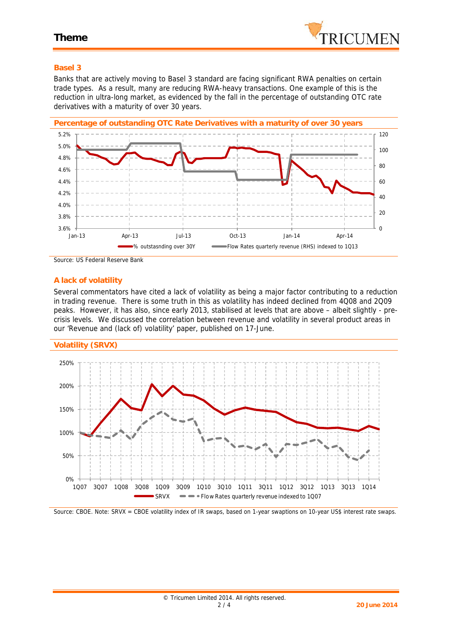

#### **Basel 3**

Banks that are actively moving to Basel 3 standard are facing significant RWA penalties on certain trade types. As a result, many are reducing RWA-heavy transactions. One example of this is the reduction in ultra-long market, as evidenced by the fall in the percentage of outstanding OTC rate derivatives with a maturity of over 30 years.



*Source: US Federal Reserve Bank*

#### **A lack of volatility**

Several commentators have cited a lack of volatility as being a major factor contributing to a reduction in trading revenue. There is some truth in this as volatility has indeed declined from 4Q08 and 2Q09 peaks. However, it has also, since early 2013, stabilised at levels that are *above* – albeit slightly - pre crisis levels. We discussed the correlation between revenue and volatility in several product areas in our 'Revenue and (lack of) volatility' paper, published on 17-June.





*Source: CBOE. Note: SRVX = CBOE volatility index of IR swaps, based on 1-year swaptions on 10-year US\$ interest rate swaps.*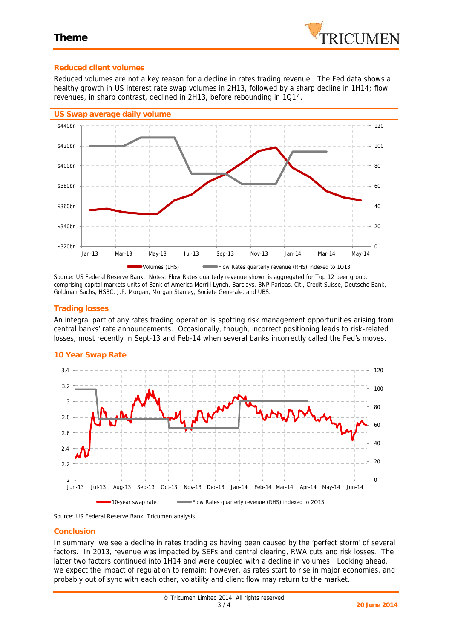

#### **Reduced client volumes**

Reduced volumes are not a key reason for a decline in rates trading revenue. The Fed data shows a healthy *growth* in US interest rate swap volumes in 2H13, followed by a sharp decline in 1H14; flow revenues, in sharp contrast, declined in 2H13, before rebounding in 1Q14.



*Source: US Federal Reserve Bank. Notes: Flow Rates quarterly revenue shown is aggregated for Top 12 peer group, comprising capital markets units of Bank of America Merrill Lynch, Barclays, BNP Paribas, Citi, Credit Suisse, Deutsche Bank, Goldman Sachs, HSBC, J.P. Morgan, Morgan Stanley, Societe Generale, and UBS.*

#### **Trading losses**

An integral part of any rates trading operation is spotting risk management opportunities arising from central banks' rate announcements. Occasionally, though, incorrect positioning leads to risk-related losses, most recently in Sept-13 and Feb-14 when several banks incorrectly called the Fed's moves.



#### **10 Year Swap Rate**

*Source: US Federal Reserve Bank, Tricumen analysis.*

#### **Conclusion**

In summary, we see a decline in rates trading as having been caused by the 'perfect storm' of several factors. In 2013, revenue was impacted by SEFs and central clearing, RWA cuts and risk losses. The latter two factors continued into 1H14 and were coupled with a decline in volumes. Looking ahead, we expect the impact of regulation to remain; however, as rates start to rise in major economies, and probably out of sync with each other, volatility and client flow may return to the market.